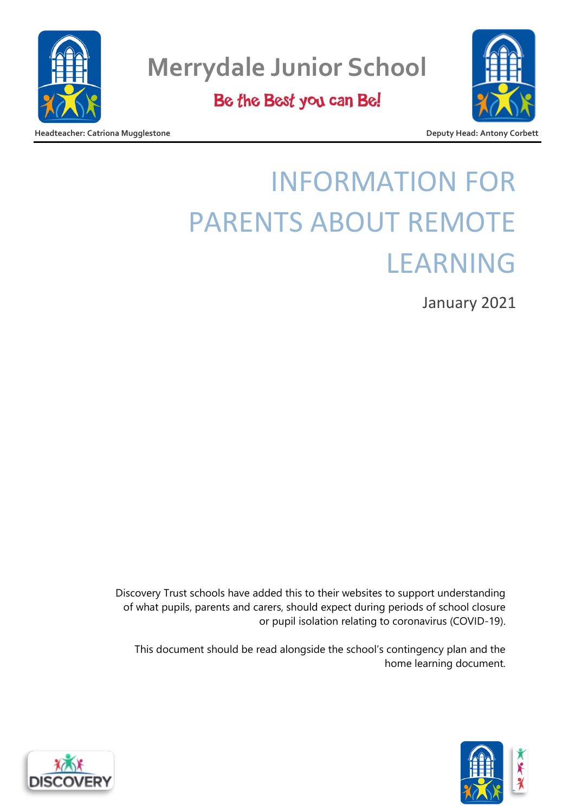

Be the Best you can Be!

**Headteacher: Catriona Mugglestone Deputy Head: Antony Corbett**

# INFORMATION FOR PARENTS ABOUT REMOTE LEARNING

January 2021

Discovery Trust schools have added this to their websites to support understanding of what pupils, parents and carers, should expect during periods of school closure or pupil isolation relating to coronavirus (COVID-19).

This document should be read alongside the school's contingency plan and the home learning document.



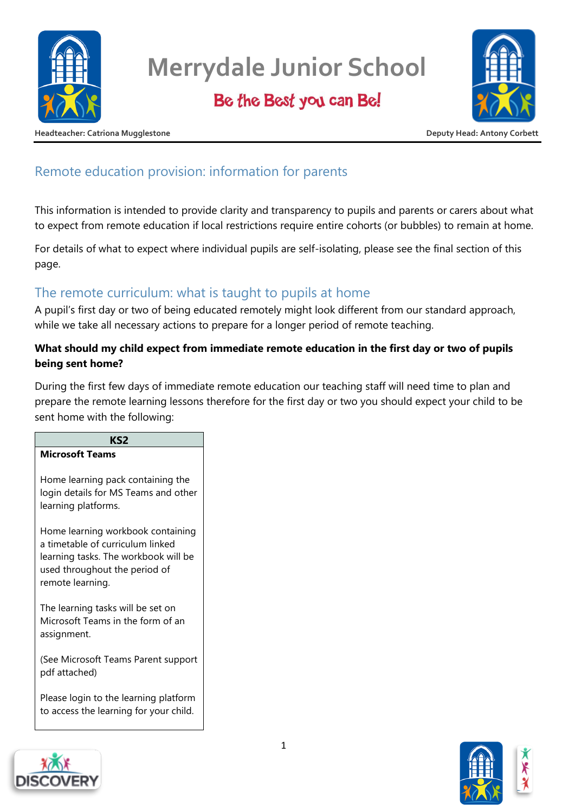

Be the Best you can Be!



**Headteacher: Catriona Mugglestone Deputy Head: Antony Corbett**

## Remote education provision: information for parents

This information is intended to provide clarity and transparency to pupils and parents or carers about what to expect from remote education if local restrictions require entire cohorts (or bubbles) to remain at home.

For details of what to expect where individual pupils are self-isolating, please see the final section of this page.

### The remote curriculum: what is taught to pupils at home

A pupil's first day or two of being educated remotely might look different from our standard approach, while we take all necessary actions to prepare for a longer period of remote teaching.

### **What should my child expect from immediate remote education in the first day or two of pupils being sent home?**

During the first few days of immediate remote education our teaching staff will need time to plan and prepare the remote learning lessons therefore for the first day or two you should expect your child to be sent home with the following:

| KS2                                                                                                                                                                |
|--------------------------------------------------------------------------------------------------------------------------------------------------------------------|
| <b>Microsoft Teams</b>                                                                                                                                             |
| Home learning pack containing the<br>login details for MS Teams and other<br>learning platforms.                                                                   |
| Home learning workbook containing<br>a timetable of curriculum linked<br>learning tasks. The workbook will be<br>used throughout the period of<br>remote learning. |
| The learning tasks will be set on<br>Microsoft Teams in the form of an<br>assignment.                                                                              |
| (See Microsoft Teams Parent support<br>pdf attached)                                                                                                               |
| Please login to the learning platform<br>to access the learning for your child.                                                                                    |



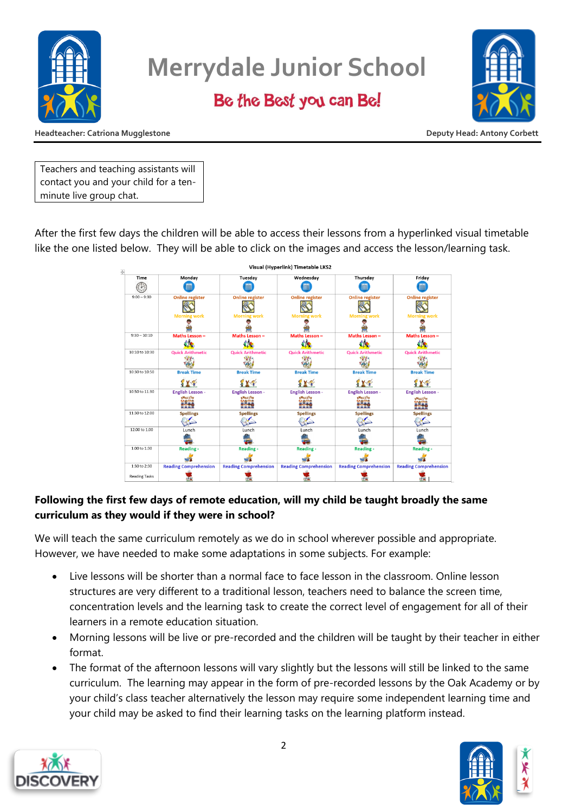

### Be the Best you can Be!



**Headteacher: Catriona Mugglestone Deputy Head: Antony Corbett**

Teachers and teaching assistants will contact you and your child for a tenminute live group chat.

After the first few days the children will be able to access their lessons from a hyperlinked visual timetable like the one listed below. They will be able to click on the images and access the lesson/learning task.



### **Following the first few days of remote education, will my child be taught broadly the same curriculum as they would if they were in school?**

We will teach the same curriculum remotely as we do in school wherever possible and appropriate. However, we have needed to make some adaptations in some subjects. For example:

- Live lessons will be shorter than a normal face to face lesson in the classroom. Online lesson structures are very different to a traditional lesson, teachers need to balance the screen time, concentration levels and the learning task to create the correct level of engagement for all of their learners in a remote education situation.
- Morning lessons will be live or pre-recorded and the children will be taught by their teacher in either format.
- The format of the afternoon lessons will vary slightly but the lessons will still be linked to the same curriculum. The learning may appear in the form of pre-recorded lessons by the Oak Academy or by your child's class teacher alternatively the lesson may require some independent learning time and your child may be asked to find their learning tasks on the learning platform instead.



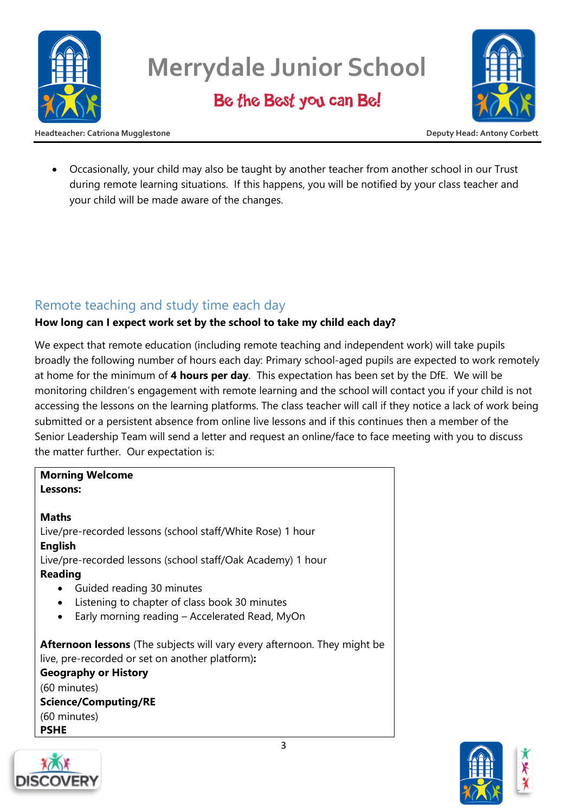

Be the Best you can Be!



**Headteacher: Catriona Mugglestone Deputy Head: Antony Corbett**

• Occasionally, your child may also be taught by another teacher from another school in our Trust during remote learning situations. If this happens, you will be notified by your class teacher and your child will be made aware of the changes.

### Remote teaching and study time each day

### **How long can I expect work set by the school to take my child each day?**

We expect that remote education (including remote teaching and independent work) will take pupils broadly the following number of hours each day: Primary school-aged pupils are expected to work remotely at home for the minimum of **4 hours per day**. This expectation has been set by the DfE. We will be monitoring children's engagement with remote learning and the school will contact you if your child is not accessing the lessons on the learning platforms. The class teacher will call if they notice a lack of work being submitted or a persistent absence from online live lessons and if this continues then a member of the Senior Leadership Team will send a letter and request an online/face to face meeting with you to discuss the matter further. Our expectation is:

#### **Morning Welcome Lessons:**

#### **Maths**

Live/pre-recorded lessons (school staff/White Rose) 1 hour **English** Live/pre-recorded lessons (school staff/Oak Academy) 1 hour **Reading**

- Guided reading 30 minutes
- Listening to chapter of class book 30 minutes
- Early morning reading Accelerated Read, MyOn

**Afternoon lessons** (The subjects will vary every afternoon. They might be live, pre-recorded or set on another platform)**:** 

**Geography or History**  (60 minutes) **Science/Computing/RE** (60 minutes) **PSHE**



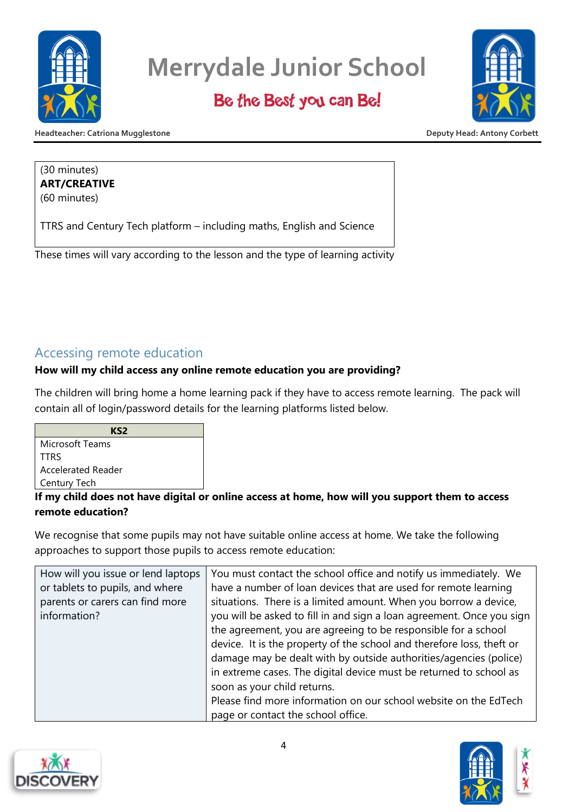

### Be the Best you can Be!



**Headteacher: Catriona Mugglestone Deputy Head: Antony Corbett**

#### (30 minutes) **ART/CREATIVE** (60 minutes)

TTRS and Century Tech platform – including maths, English and Science

These times will vary according to the lesson and the type of learning activity

### Accessing remote education

### **How will my child access any online remote education you are providing?**

The children will bring home a home learning pack if they have to access remote learning. The pack will contain all of login/password details for the learning platforms listed below.

| KS2                |  |
|--------------------|--|
| Microsoft Teams    |  |
| <b>TTRS</b>        |  |
| Accelerated Reader |  |
| Century Tech       |  |
|                    |  |

### **If my child does not have digital or online access at home, how will you support them to access remote education?**

We recognise that some pupils may not have suitable online access at home. We take the following approaches to support those pupils to access remote education:

| How will you issue or lend laptops<br>or tablets to pupils, and where | You must contact the school office and notify us immediately. We<br>have a number of loan devices that are used for remote learning |
|-----------------------------------------------------------------------|-------------------------------------------------------------------------------------------------------------------------------------|
| parents or carers can find more                                       | situations. There is a limited amount. When you borrow a device,                                                                    |
| information?                                                          | you will be asked to fill in and sign a loan agreement. Once you sign                                                               |
|                                                                       | the agreement, you are agreeing to be responsible for a school                                                                      |
|                                                                       | device. It is the property of the school and therefore loss, theft or                                                               |
|                                                                       | damage may be dealt with by outside authorities/agencies (police)                                                                   |
|                                                                       | in extreme cases. The digital device must be returned to school as                                                                  |
|                                                                       | soon as your child returns.                                                                                                         |
|                                                                       | Please find more information on our school website on the EdTech                                                                    |
|                                                                       | page or contact the school office.                                                                                                  |



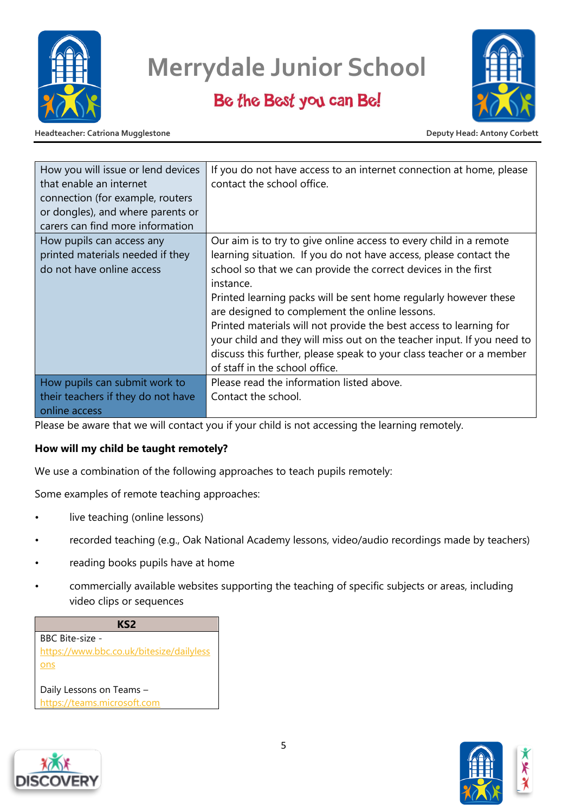

### Be the Best you can Be!



**Headteacher: Catriona Mugglestone Deputy Head: Antony Corbett**

| How you will issue or lend devices<br>that enable an internet<br>connection (for example, routers<br>or dongles), and where parents or<br>carers can find more information | If you do not have access to an internet connection at home, please<br>contact the school office.                                                                                                                                                                                                                                                                                                                                                                                                                                                                                                      |
|----------------------------------------------------------------------------------------------------------------------------------------------------------------------------|--------------------------------------------------------------------------------------------------------------------------------------------------------------------------------------------------------------------------------------------------------------------------------------------------------------------------------------------------------------------------------------------------------------------------------------------------------------------------------------------------------------------------------------------------------------------------------------------------------|
| How pupils can access any<br>printed materials needed if they<br>do not have online access                                                                                 | Our aim is to try to give online access to every child in a remote<br>learning situation. If you do not have access, please contact the<br>school so that we can provide the correct devices in the first<br>instance.<br>Printed learning packs will be sent home regularly however these<br>are designed to complement the online lessons.<br>Printed materials will not provide the best access to learning for<br>your child and they will miss out on the teacher input. If you need to<br>discuss this further, please speak to your class teacher or a member<br>of staff in the school office. |
| How pupils can submit work to<br>their teachers if they do not have<br>online access                                                                                       | Please read the information listed above.<br>Contact the school.                                                                                                                                                                                                                                                                                                                                                                                                                                                                                                                                       |

Please be aware that we will contact you if your child is not accessing the learning remotely.

#### **How will my child be taught remotely?**

We use a combination of the following approaches to teach pupils remotely:

Some examples of remote teaching approaches:

- live teaching (online lessons)
- recorded teaching (e.g., Oak National Academy lessons, video/audio recordings made by teachers)
- reading books pupils have at home
- commercially available websites supporting the teaching of specific subjects or areas, including video clips or sequences





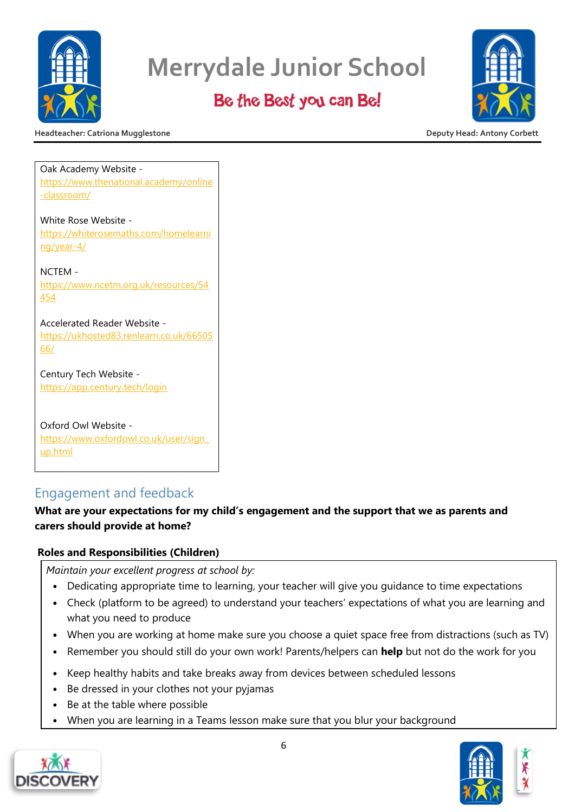

### Be the Best you can Be!



**Headteacher: Catriona Mugglestone Deputy Head: Antony Corbett**

Oak Academy Website [https://www.thenational.academy/online](https://www.thenational.academy/online-classroom/) [-classroom/](https://www.thenational.academy/online-classroom/) White Rose Website [https://whiterosemaths.com/homelearni](https://whiterosemaths.com/homelearning/year-4/) [ng/year-4/](https://whiterosemaths.com/homelearning/year-4/) NCTEM -

[https://www.ncetm.org.uk/resources/54](https://www.ncetm.org.uk/resources/54454) [454](https://www.ncetm.org.uk/resources/54454)

Accelerated Reader Website [https://ukhosted83.renlearn.co.uk/66505](https://ukhosted83.renlearn.co.uk/6650566/) [66/](https://ukhosted83.renlearn.co.uk/6650566/)

Century Tech Website <https://app.century.tech/login>

Oxford Owl Website [https://www.oxfordowl.co.uk/user/sign\\_](https://www.oxfordowl.co.uk/user/sign_up.html) [up.html](https://www.oxfordowl.co.uk/user/sign_up.html)

### Engagement and feedback

### **What are your expectations for my child's engagement and the support that we as parents and carers should provide at home?**

### **Roles and Responsibilities (Children)**

*Maintain your excellent progress at school by:* 

- Dedicating appropriate time to learning, your teacher will give you guidance to time expectations
- Check (platform to be agreed) to understand your teachers' expectations of what you are learning and what you need to produce
- When you are working at home make sure you choose a quiet space free from distractions (such as TV)
- Remember you should still do your own work! Parents/helpers can **help** but not do the work for you
- Keep healthy habits and take breaks away from devices between scheduled lessons
- Be dressed in your clothes not your pyjamas
- Be at the table where possible
- When you are learning in a Teams lesson make sure that you blur your background





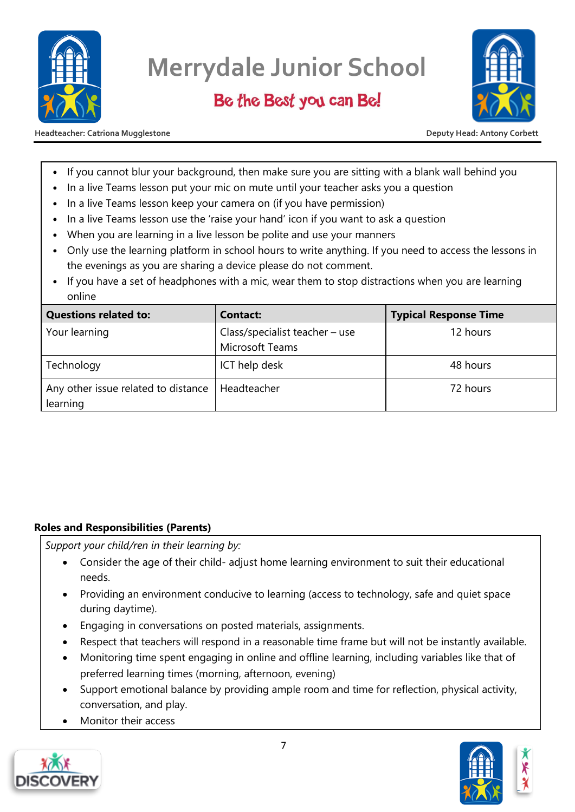

### Be the Best you can Be!



**Headteacher: Catriona Mugglestone Deputy Head: Antony Corbett**

- If you cannot blur your background, then make sure you are sitting with a blank wall behind you
- In a live Teams lesson put your mic on mute until your teacher asks you a question
- In a live Teams lesson keep your camera on (if you have permission)
- In a live Teams lesson use the 'raise your hand' icon if you want to ask a question
- When you are learning in a live lesson be polite and use your manners
- Only use the learning platform in school hours to write anything. If you need to access the lessons in the evenings as you are sharing a device please do not comment.
- If you have a set of headphones with a mic, wear them to stop distractions when you are learning online

| <b>Questions related to:</b>                                  | <b>Contact:</b>                                   | <b>Typical Response Time</b> |
|---------------------------------------------------------------|---------------------------------------------------|------------------------------|
| Your learning                                                 | Class/specialist teacher - use<br>Microsoft Teams | 12 hours                     |
| Technology                                                    | ICT help desk                                     | 48 hours                     |
| Any other issue related to distance   Headteacher<br>learning |                                                   | 72 hours                     |

#### **Roles and Responsibilities (Parents)**

*Support your child/ren in their learning by:* 

- Consider the age of their child- adjust home learning environment to suit their educational needs.
- Providing an environment conducive to learning (access to technology, safe and quiet space during daytime).
- Engaging in conversations on posted materials, assignments.
- Respect that teachers will respond in a reasonable time frame but will not be instantly available.
- Monitoring time spent engaging in online and offline learning, including variables like that of preferred learning times (morning, afternoon, evening)
- Support emotional balance by providing ample room and time for reflection, physical activity, conversation, and play.
- Monitor their access



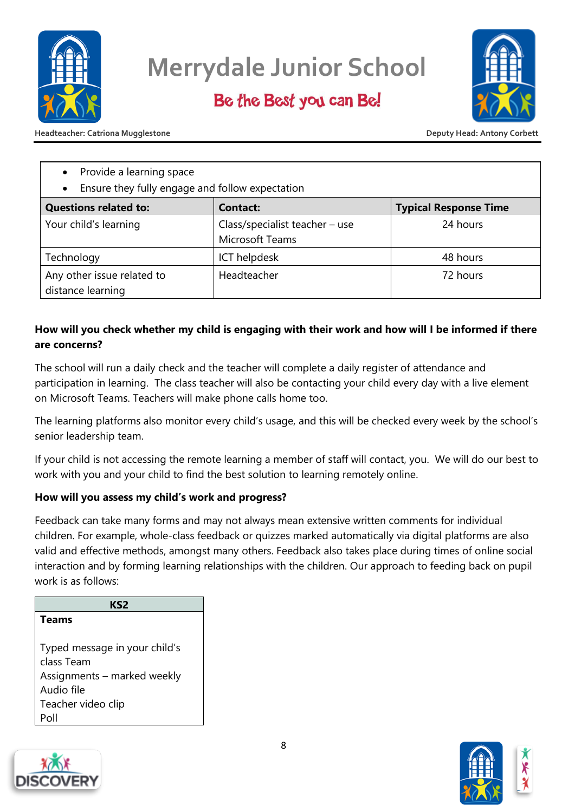

### Be the Best you can Be!



**Headteacher: Catriona Mugglestone Deputy Head: Antony Corbett**

- Provide a learning space
- Ensure they fully engage and follow expectation

| • Library Tully engage and follow expectation   |                                                     |                              |
|-------------------------------------------------|-----------------------------------------------------|------------------------------|
| <b>Questions related to:</b>                    | <b>Contact:</b>                                     | <b>Typical Response Time</b> |
| Your child's learning                           | Class/specialist teacher $-$ use<br>Microsoft Teams | 24 hours                     |
| Technology                                      | ICT helpdesk                                        | 48 hours                     |
| Any other issue related to<br>distance learning | Headteacher                                         | 72 hours                     |

### **How will you check whether my child is engaging with their work and how will I be informed if there are concerns?**

The school will run a daily check and the teacher will complete a daily register of attendance and participation in learning. The class teacher will also be contacting your child every day with a live element on Microsoft Teams. Teachers will make phone calls home too.

The learning platforms also monitor every child's usage, and this will be checked every week by the school's senior leadership team.

If your child is not accessing the remote learning a member of staff will contact, you. We will do our best to work with you and your child to find the best solution to learning remotely online.

### **How will you assess my child's work and progress?**

Feedback can take many forms and may not always mean extensive written comments for individual children. For example, whole-class feedback or quizzes marked automatically via digital platforms are also valid and effective methods, amongst many others. Feedback also takes place during times of online social interaction and by forming learning relationships with the children. Our approach to feeding back on pupil work is as follows:

| KS2                           |
|-------------------------------|
| <b>Teams</b>                  |
|                               |
| Typed message in your child's |
| class Team                    |
| Assignments – marked weekly   |
| Audio file                    |
| Teacher video clip            |
| P∩ll                          |



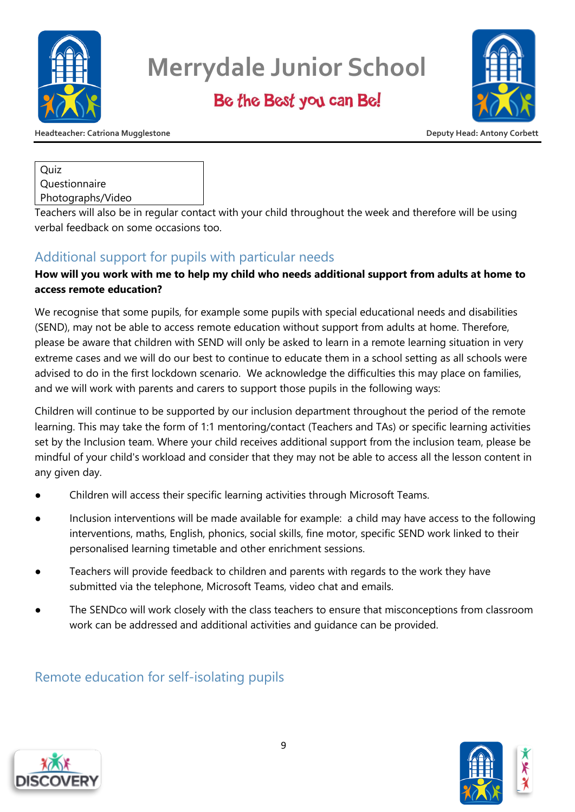

Be the Best you can Be!



**Headteacher: Catriona Mugglestone Deputy Head: Antony Corbett**

**Ouiz** Questionnaire Photographs/Video

Teachers will also be in regular contact with your child throughout the week and therefore will be using verbal feedback on some occasions too.

### Additional support for pupils with particular needs

### **How will you work with me to help my child who needs additional support from adults at home to access remote education?**

We recognise that some pupils, for example some pupils with special educational needs and disabilities (SEND), may not be able to access remote education without support from adults at home. Therefore, please be aware that children with SEND will only be asked to learn in a remote learning situation in very extreme cases and we will do our best to continue to educate them in a school setting as all schools were advised to do in the first lockdown scenario. We acknowledge the difficulties this may place on families, and we will work with parents and carers to support those pupils in the following ways:

Children will continue to be supported by our inclusion department throughout the period of the remote learning. This may take the form of 1:1 mentoring/contact (Teachers and TAs) or specific learning activities set by the Inclusion team. Where your child receives additional support from the inclusion team, please be mindful of your child's workload and consider that they may not be able to access all the lesson content in any given day.

- Children will access their specific learning activities through Microsoft Teams.
- Inclusion interventions will be made available for example: a child may have access to the following interventions, maths, English, phonics, social skills, fine motor, specific SEND work linked to their personalised learning timetable and other enrichment sessions.
- Teachers will provide feedback to children and parents with regards to the work they have submitted via the telephone, Microsoft Teams, video chat and emails.
- The SENDco will work closely with the class teachers to ensure that misconceptions from classroom work can be addressed and additional activities and guidance can be provided.

### Remote education for self-isolating pupils



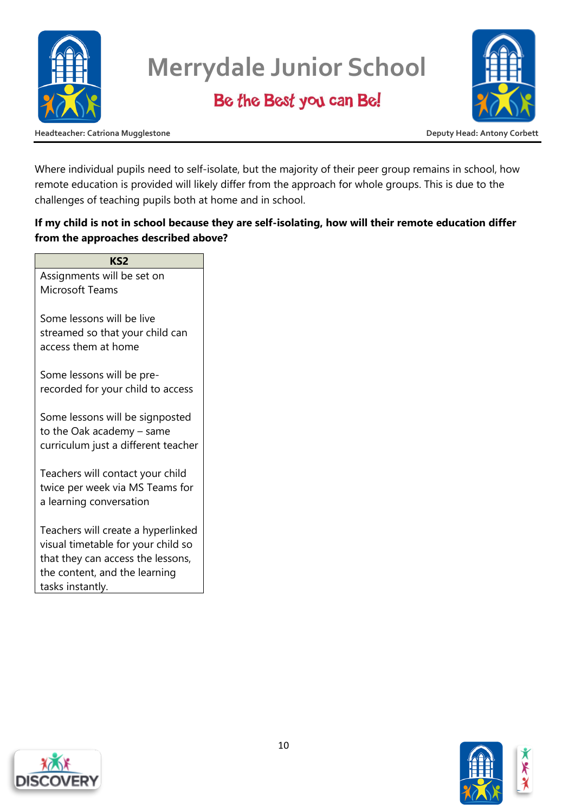

### Be the Best you can Be!



**Headteacher: Catriona Mugglestone Deputy Head: Antony Corbett**

Where individual pupils need to self-isolate, but the majority of their peer group remains in school, how remote education is provided will likely differ from the approach for whole groups. This is due to the challenges of teaching pupils both at home and in school.

### **If my child is not in school because they are self-isolating, how will their remote education differ from the approaches described above?**

**KS2** Assignments will be set on Microsoft Teams Some lessons will be live streamed so that your child can access them at home Some lessons will be prerecorded for your child to access Some lessons will be signposted to the Oak academy – same curriculum just a different teacher Teachers will contact your child twice per week via MS Teams for a learning conversation Teachers will create a hyperlinked visual timetable for your child so that they can access the lessons, the content, and the learning tasks instantly.



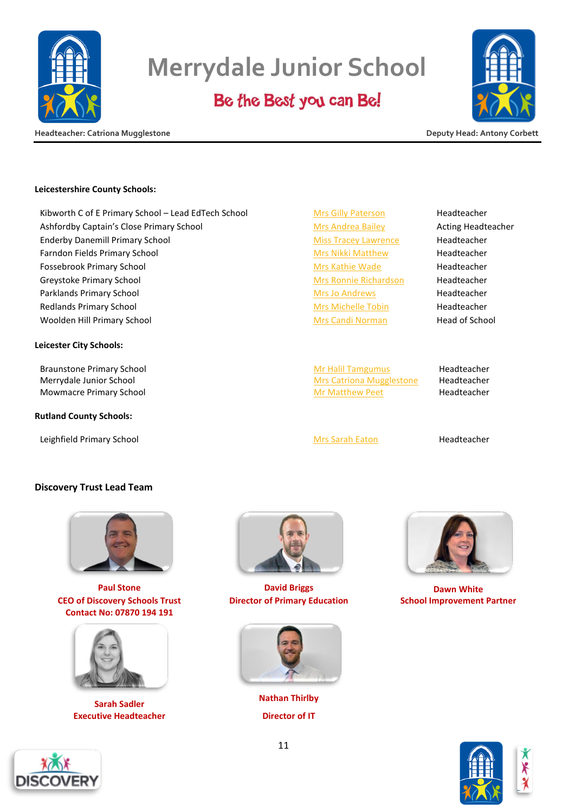

### Be the Best you can Be!



**Headteacher: Catriona Mugglestone Deputy Head: Antony Corbett**

#### **Leicestershire County Schools:**

Kibworth C of E Primary School – Lead EdTech School [Mrs Gilly Paterson](mailto:gpaterson@dsatkibworth.org) Headteacher Ashfordby Captain's Close Primary School [Mrs Andrea Bailey](mailto:abailey@dsatcaptainsclose.org) Acting Headteacher Enderby Danemill Primary School [Miss Tracey Lawrence](mailto:tlawrence@dsatdanemill.org) Headteacher Farndon Fields Primary School and [Mrs Nikki Matthew](mailto:nmatthew@dsatfarndonfields.org) Mrs Nikki Matthew Headteacher Fossebrook Primary School **[Mrs Kathie Wade](mailto:kwade@fossebrook.org.uk) Headteacher** Mrs Kathie Wade Headteacher Greystoke Primary School and [Mrs Ronnie Richardson](mailto:rrichardson@dsatgreystoke.org) Mrs Ronnie Richardson Headteacher Parklands Primary School and [Mrs Jo Andrews](mailto:jandrews@dsatparkland.org) Headteacher Headteacher Redlands Primary School and [Mrs Michelle Tobin](mailto:mtobin@discoveryschoolstrust.org.uk) Mrs Michelle Tobin Headteacher Woolden Hill Primary School **[Mrs Candi Norman](mailto:cnorman@dsatwooldenhill.org)** Head of School Mrs Candi Norman Head of School

#### **Leicester City Schools:**

Braunstone Primary School and Tamar and Tamar [Mr Halil Tamgumus](mailto:htamgumus@discoveryschoolstrust.org.uk) Headteacher Merrydale Junior School **[Mrs Catriona Mugglestone](mailto:cmugglestone@dsatmerrydale.org)** Headteacher Mowmacre Primary School **[Mr Matthew Peet](mailto:mpeet@dsatmowmacrehill.org)** Headteacher Headteacher

#### **Rutland County Schools:**

Leighfield Primary School [Mrs Sarah Eaton](mailto:seaton@discoveryschoolstrust.org.uk) Headteacher

#### **Discovery Trust Lead Team**



**CEO of Discovery Schools Trust Contact No: 07870 194 191**



**Executive Headteacher Director of IT** 



**Paul Stone David Briggs Dawn White Director of Primary Education School Improvement Partner**



**Sarah Sadler Nathan Thirlby**